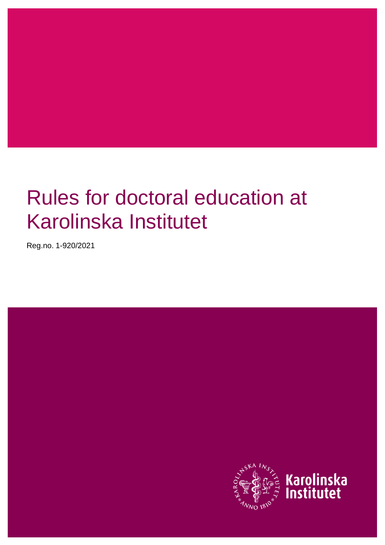# Rules for doctoral education at Karolinska Institutet

Reg.no. 1-920/2021

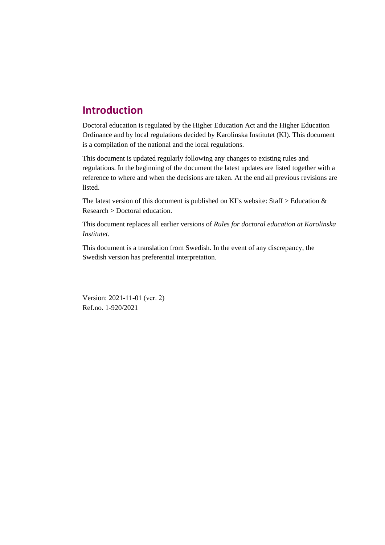# **Introduction**

Doctoral education is regulated by the Higher Education Act and the Higher Education Ordinance and by local regulations decided by Karolinska Institutet (KI). This document is a compilation of the national and the local regulations.

This document is updated regularly following any changes to existing rules and regulations. In the beginning of the document the latest updates are listed together with a reference to where and when the decisions are taken. At the end all previous revisions are listed.

The latest version of this document is published on KI's website: Staff > Education  $\&$ Research > Doctoral education.

This document replaces all earlier versions of *Rules for doctoral education at Karolinska Institutet.*

This document is a translation from Swedish. In the event of any discrepancy, the Swedish version has preferential interpretation.

Version: 2021-11-01 (ver. 2) Ref.no. 1-920/2021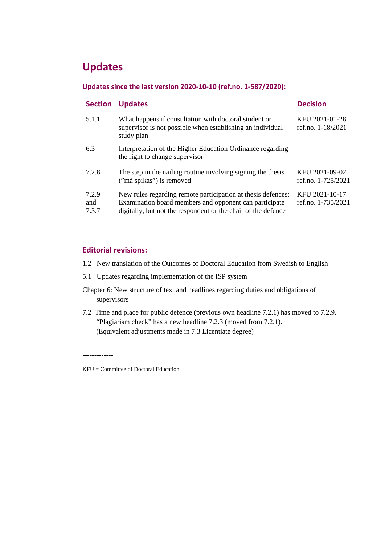# **Updates**

#### **Updates since the last version 2020-10-10 (ref.no. 1-587/2020):**

| <b>Section</b>        | <b>Updates</b>                                                                                                                                                                          | <b>Decision</b>                      |
|-----------------------|-----------------------------------------------------------------------------------------------------------------------------------------------------------------------------------------|--------------------------------------|
| 5.1.1                 | What happens if consultation with doctoral student or<br>supervisor is not possible when establishing an individual<br>study plan                                                       | KFU 2021-01-28<br>ref.no. 1-18/2021  |
| 6.3                   | Interpretation of the Higher Education Ordinance regarding<br>the right to change supervisor                                                                                            |                                      |
| 7.2.8                 | The step in the nailing routine involving signing the thesis<br>("må spikas") is removed                                                                                                | KFU 2021-09-02<br>ref.no. 1-725/2021 |
| 7.2.9<br>and<br>7.3.7 | New rules regarding remote participation at thesis defences:<br>Examination board members and opponent can participate<br>digitally, but not the respondent or the chair of the defence | KFU 2021-10-17<br>ref.no. 1-735/2021 |

#### **Editorial revisions:**

- 1.2 New translation of the Outcomes of Doctoral Education from Swedish to English
- 5.1 Updates regarding implementation of the ISP system
- Chapter 6: New structure of text and headlines regarding duties and obligations of supervisors
- 7.2 Time and place for public defence (previous own headline 7.2.1) has moved to 7.2.9. "Plagiarism check" has a new headline 7.2.3 (moved from 7.2.1). (Equivalent adjustments made in 7.3 Licentiate degree)

**-------------**

KFU = Committee of Doctoral Education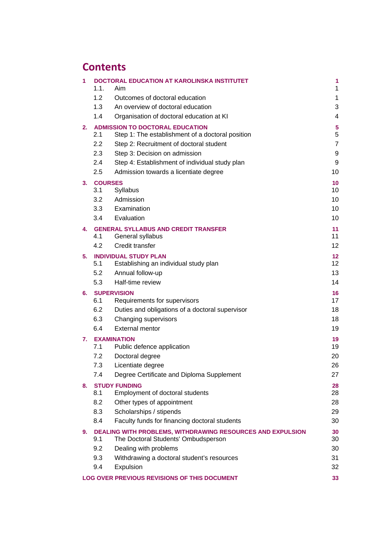# **Contents**

| 1  | 1.1.             | <b>DOCTORAL EDUCATION AT KAROLINSKA INSTITUTET</b><br>Aim                                         | 1<br>$\mathbf 1$                   |
|----|------------------|---------------------------------------------------------------------------------------------------|------------------------------------|
|    | 1.2              | Outcomes of doctoral education                                                                    | 1                                  |
|    | 1.3              | An overview of doctoral education                                                                 | 3                                  |
|    | 1.4              | Organisation of doctoral education at KI                                                          | 4                                  |
| 2. |                  | <b>ADMISSION TO DOCTORAL EDUCATION</b>                                                            | $\sqrt{5}$                         |
|    | 2.1              | Step 1: The establishment of a doctoral position                                                  | 5                                  |
|    | $2.2\phantom{0}$ | Step 2: Recruitment of doctoral student                                                           | $\overline{7}$                     |
|    | 2.3              | Step 3: Decision on admission                                                                     | 9                                  |
|    | 2.4              | Step 4: Establishment of individual study plan                                                    | 9                                  |
|    | 2.5              | Admission towards a licentiate degree                                                             | 10                                 |
| 3. | <b>COURSES</b>   |                                                                                                   | 10                                 |
|    | 3.1              | <b>Syllabus</b>                                                                                   | 10                                 |
|    | 3.2              | Admission                                                                                         | 10                                 |
|    | 3.3              | Examination                                                                                       | 10                                 |
|    | 3.4              | Evaluation                                                                                        | 10                                 |
| 4. | 4.1              | <b>GENERAL SYLLABUS AND CREDIT TRANSFER</b><br>General syllabus                                   | 11<br>11                           |
|    | 4.2              | Credit transfer                                                                                   | 12                                 |
|    |                  |                                                                                                   |                                    |
| 5. | 5.1              | <b>INDIVIDUAL STUDY PLAN</b><br>Establishing an individual study plan                             | 12 <sub>2</sub><br>12 <sup>°</sup> |
|    | 5.2              | Annual follow-up                                                                                  | 13                                 |
|    | 5.3              | Half-time review                                                                                  | 14                                 |
| 6. |                  | <b>SUPERVISION</b>                                                                                | 16                                 |
|    | 6.1              | Requirements for supervisors                                                                      | 17                                 |
|    | 6.2              | Duties and obligations of a doctoral supervisor                                                   | 18                                 |
|    | 6.3              | Changing supervisors                                                                              | 18                                 |
|    | 6.4              | <b>External mentor</b>                                                                            | 19                                 |
| 7. |                  | <b>EXAMINATION</b>                                                                                | 19                                 |
|    | 7.1              | Public defence application                                                                        | 19                                 |
|    | 7.2              | Doctoral degree                                                                                   | 20                                 |
|    | 7.3              | Licentiate degree                                                                                 | 26                                 |
|    | 7.4              | Degree Certificate and Diploma Supplement                                                         | 27                                 |
| 8. |                  | <b>STUDY FUNDING</b>                                                                              | 28                                 |
|    | 8.1              | Employment of doctoral students                                                                   | 28                                 |
|    | 8.2              | Other types of appointment                                                                        | 28                                 |
|    | 8.3              | Scholarships / stipends                                                                           | 29                                 |
|    | 8.4              | Faculty funds for financing doctoral students                                                     | 30                                 |
| 9. | 9.1              | DEALING WITH PROBLEMS, WITHDRAWING RESOURCES AND EXPULSION<br>The Doctoral Students' Ombudsperson | 30<br>30                           |
|    | 9.2              | Dealing with problems                                                                             | 30                                 |
|    | 9.3              | Withdrawing a doctoral student's resources                                                        | 31                                 |
|    | 9.4              | Expulsion                                                                                         | 32                                 |
|    |                  | LOG OVER PREVIOUS REVISIONS OF THIS DOCUMENT                                                      | 33                                 |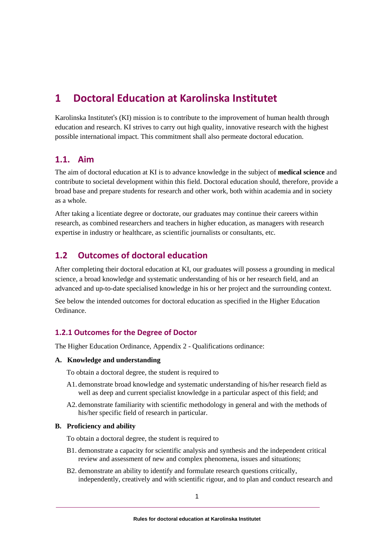# <span id="page-4-0"></span>**1 Doctoral Education at Karolinska Institutet**

Karolinska Institutet's (KI) mission is to contribute to the improvement of human health through education and research. KI strives to carry out high quality, innovative research with the highest possible international impact. This commitment shall also permeate doctoral education.

# <span id="page-4-1"></span>**1.1. Aim**

The aim of doctoral education at KI is to advance knowledge in the subject of **medical science** and contribute to societal development within this field. Doctoral education should, therefore, provide a broad base and prepare students for research and other work, both within academia and in society as a whole.

After taking a licentiate degree or doctorate, our graduates may continue their careers within research, as combined researchers and teachers in higher education, as managers with research expertise in industry or healthcare, as scientific journalists or consultants, etc.

# <span id="page-4-2"></span>**1.2 Outcomes of doctoral education**

After completing their doctoral education at KI, our graduates will possess a grounding in medical science, a broad knowledge and systematic understanding of his or her research field, and an advanced and up-to-date specialised knowledge in his or her project and the surrounding context.

See below the intended outcomes for doctoral education as specified in the Higher Education Ordinance.

#### **1.2.1 Outcomes for the Degree of Doctor**

The Higher Education Ordinance, Appendix 2 - Qualifications ordinance:

#### **A. Knowledge and understanding**

To obtain a doctoral degree, the student is required to

- A1. demonstrate broad knowledge and systematic understanding of his/her research field as well as deep and current specialist knowledge in a particular aspect of this field; and
- A2. demonstrate familiarity with scientific methodology in general and with the methods of his/her specific field of research in particular.

#### **B. Proficiency and ability**

To obtain a doctoral degree, the student is required to

- B1. demonstrate a capacity for scientific analysis and synthesis and the independent critical review and assessment of new and complex phenomena, issues and situations;
- B2. demonstrate an ability to identify and formulate research questions critically, independently, creatively and with scientific rigour, and to plan and conduct research and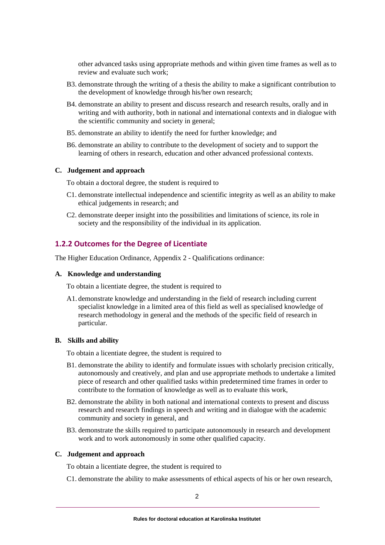other advanced tasks using appropriate methods and within given time frames as well as to review and evaluate such work;

- B3. demonstrate through the writing of a thesis the ability to make a significant contribution to the development of knowledge through his/her own research;
- B4. demonstrate an ability to present and discuss research and research results, orally and in writing and with authority, both in national and international contexts and in dialogue with the scientific community and society in general;
- B5. demonstrate an ability to identify the need for further knowledge; and
- B6. demonstrate an ability to contribute to the development of society and to support the learning of others in research, education and other advanced professional contexts.

#### **C. Judgement and approach**

To obtain a doctoral degree, the student is required to

- C1. demonstrate intellectual independence and scientific integrity as well as an ability to make ethical judgements in research; and
- C2. demonstrate deeper insight into the possibilities and limitations of science, its role in society and the responsibility of the individual in its application.

#### **1.2.2 Outcomes for the Degree of Licentiate**

The Higher Education Ordinance, Appendix 2 - Qualifications ordinance:

#### **A. Knowledge and understanding**

To obtain a licentiate degree, the student is required to

A1. demonstrate knowledge and understanding in the field of research including current specialist knowledge in a limited area of this field as well as specialised knowledge of research methodology in general and the methods of the specific field of research in particular.

#### **B. Skills and ability**

To obtain a licentiate degree, the student is required to

- B1. demonstrate the ability to identify and formulate issues with scholarly precision critically, autonomously and creatively, and plan and use appropriate methods to undertake a limited piece of research and other qualified tasks within predetermined time frames in order to contribute to the formation of knowledge as well as to evaluate this work,
- B2. demonstrate the ability in both national and international contexts to present and discuss research and research findings in speech and writing and in dialogue with the academic community and society in general, and
- B3. demonstrate the skills required to participate autonomously in research and development work and to work autonomously in some other qualified capacity.

#### **C. Judgement and approach**

To obtain a licentiate degree, the student is required to

C1. demonstrate the ability to make assessments of ethical aspects of his or her own research,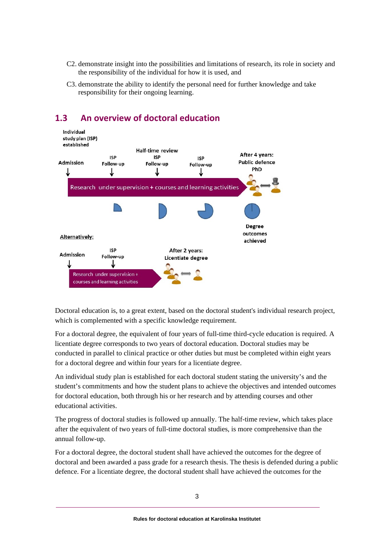- C2. demonstrate insight into the possibilities and limitations of research, its role in society and the responsibility of the individual for how it is used, and
- C3. demonstrate the ability to identify the personal need for further knowledge and take responsibility for their ongoing learning.



# <span id="page-6-0"></span>**1.3 An overview of doctoral education**

Doctoral education is, to a great extent, based on the doctoral student's individual research project, which is complemented with a specific knowledge requirement.

For a doctoral degree, the equivalent of four years of full-time third-cycle education is required. A licentiate degree corresponds to two years of doctoral education. Doctoral studies may be conducted in parallel to clinical practice or other duties but must be completed within eight years for a doctoral degree and within four years for a licentiate degree.

An individual study plan is established for each doctoral student stating the university's and the student's commitments and how the student plans to achieve the objectives and intended outcomes for doctoral education, both through his or her research and by attending courses and other educational activities.

The progress of doctoral studies is followed up annually. The half-time review, which takes place after the equivalent of two years of full-time doctoral studies, is more comprehensive than the annual follow-up.

For a doctoral degree, the doctoral student shall have achieved the outcomes for the degree of doctoral and been awarded a pass grade for a research thesis. The thesis is defended during a public defence. For a licentiate degree, the doctoral student shall have achieved the outcomes for the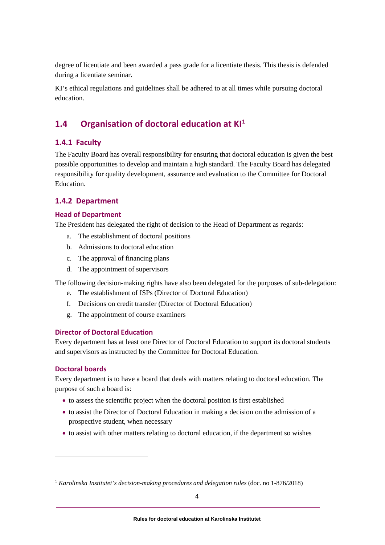degree of licentiate and been awarded a pass grade for a licentiate thesis. This thesis is defended during a licentiate seminar.

KI's ethical regulations and guidelines shall be adhered to at all times while pursuing doctoral education.

# <span id="page-7-0"></span>**1.4 Organisation of doctoral education at KI[1](#page-7-1)**

#### **1.4.1 Faculty**

The Faculty Board has overall responsibility for ensuring that doctoral education is given the best possible opportunities to develop and maintain a high standard. The Faculty Board has delegated responsibility for quality development, assurance and evaluation to the Committee for Doctoral Education.

#### **1.4.2 Department**

#### **Head of Department**

The President has delegated the right of decision to the Head of Department as regards:

- a. The establishment of doctoral positions
- b. Admissions to doctoral education
- c. The approval of financing plans
- d. The appointment of supervisors

The following decision-making rights have also been delegated for the purposes of sub-delegation:

- e. The establishment of ISPs (Director of Doctoral Education)
- f. Decisions on credit transfer (Director of Doctoral Education)
- g. The appointment of course examiners

#### **Director of Doctoral Education**

Every department has at least one Director of Doctoral Education to support its doctoral students and supervisors as instructed by the Committee for Doctoral Education.

#### **Doctoral boards**

Every department is to have a board that deals with matters relating to doctoral education. The purpose of such a board is:

- to assess the scientific project when the doctoral position is first established
- to assist the Director of Doctoral Education in making a decision on the admission of a prospective student, when necessary
- to assist with other matters relating to doctoral education, if the department so wishes

<span id="page-7-1"></span><sup>&</sup>lt;sup>1</sup> *Karolinska Institutet's decision-making procedures and delegation rules* (doc. no 1-876/2018)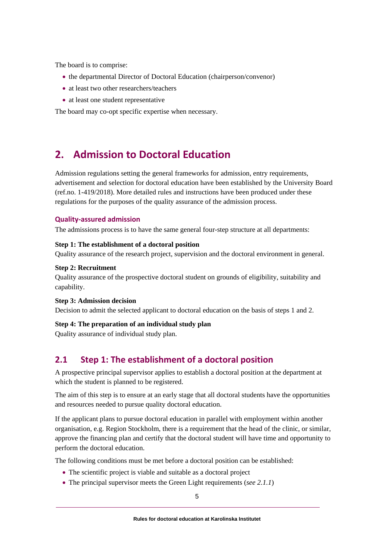The board is to comprise:

- the departmental Director of Doctoral Education (chairperson/convenor)
- at least two other researchers/teachers
- at least one student representative

<span id="page-8-0"></span>The board may co-opt specific expertise when necessary.

# **2. Admission to Doctoral Education**

Admission regulations setting the general frameworks for admission, entry requirements, advertisement and selection for doctoral education have been established by the University Board (ref.no. 1-419/2018). More detailed rules and instructions have been produced under these regulations for the purposes of the quality assurance of the admission process.

#### **Quality-assured admission**

The admissions process is to have the same general four-step structure at all departments:

#### **Step 1: The establishment of a doctoral position**

Quality assurance of the research project, supervision and the doctoral environment in general.

#### **Step 2: Recruitment**

Quality assurance of the prospective doctoral student on grounds of eligibility, suitability and capability.

#### **Step 3: Admission decision**

Decision to admit the selected applicant to doctoral education on the basis of steps 1 and 2.

#### **Step 4: The preparation of an individual study plan**

<span id="page-8-1"></span>Quality assurance of individual study plan.

# **2.1 Step 1: The establishment of a doctoral position**

A prospective principal supervisor applies to establish a doctoral position at the department at which the student is planned to be registered.

The aim of this step is to ensure at an early stage that all doctoral students have the opportunities and resources needed to pursue quality doctoral education.

If the applicant plans to pursue doctoral education in parallel with employment within another organisation, e.g. Region Stockholm, there is a requirement that the head of the clinic, or similar, approve the financing plan and certify that the doctoral student will have time and opportunity to perform the doctoral education.

The following conditions must be met before a doctoral position can be established:

- The scientific project is viable and suitable as a doctoral project
- The principal supervisor meets the Green Light requirements (*see 2.1.1*)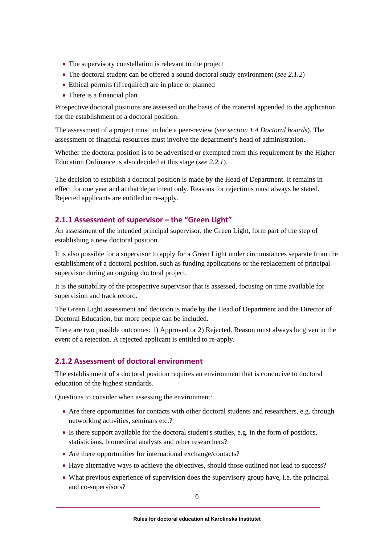- The supervisory constellation is relevant to the project
- The doctoral student can be offered a sound doctoral study environment (*see 2.1.2*)
- Ethical permits (if required) are in place or planned
- There is a financial plan

Prospective doctoral positions are assessed on the basis of the material appended to the application for the establishment of a doctoral position.

The assessment of a project must include a peer-review (*see section 1.4 Doctoral boards*). The assessment of financial resources must involve the department's head of administration.

Whether the doctoral position is to be advertised or exempted from this requirement by the Higher Education Ordinance is also decided at this stage (*see 2.2.1*).

The decision to establish a doctoral position is made by the Head of Department. It remains in effect for one year and at that department only. Reasons for rejections must always be stated. Rejected applicants are entitled to re-apply.

#### **2.1.1 Assessment of supervisor – the "Green Light"**

An assessment of the intended principal supervisor, the Green Light, form part of the step of establishing a new doctoral position.

It is also possible for a supervisor to apply for a Green Light under circumstances separate from the establishment of a doctoral position, such as funding applications or the replacement of principal supervisor during an ongoing doctoral project.

It is the suitability of the prospective supervisor that is assessed, focusing on time available for supervision and track record.

The Green Light assessment and decision is made by the Head of Department and the Director of Doctoral Education, but more people can be included.

There are two possible outcomes: 1) Approved or 2) Rejected. Reason must always be given in the event of a rejection. A rejected applicant is entitled to re-apply.

#### **2.1.2 Assessment of doctoral environment**

The establishment of a doctoral position requires an environment that is conducive to doctoral education of the highest standards.

Questions to consider when assessing the environment:

- Are there opportunities for contacts with other doctoral students and researchers, e.g. through networking activities, seminars etc.?
- Is there support available for the doctoral student's studies, e.g. in the form of postdocs, statisticians, biomedical analysts and other researchers?
- Are there opportunities for international exchange/contacts?
- Have alternative ways to achieve the objectives, should those outlined not lead to success?
- What previous experience of supervision does the supervisory group have, i.e. the principal and co-supervisors?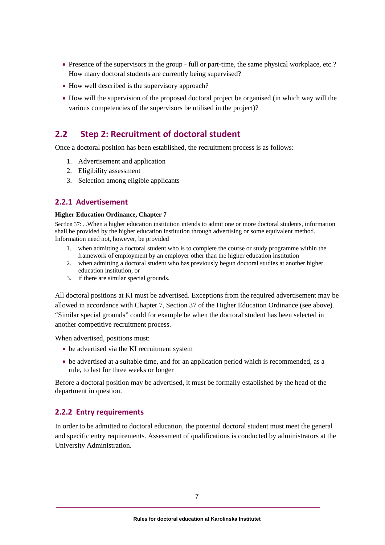- Presence of the supervisors in the group full or part-time, the same physical workplace, etc.? How many doctoral students are currently being supervised?
- How well described is the supervisory approach?
- How will the supervision of the proposed doctoral project be organised (in which way will the various competencies of the supervisors be utilised in the project)?

# <span id="page-10-0"></span>**2.2 Step 2: Recruitment of doctoral student**

Once a doctoral position has been established, the recruitment process is as follows:

- 1. Advertisement and application
- 2. Eligibility assessment
- 3. Selection among eligible applicants

#### **2.2.1 Advertisement**

#### **Higher Education Ordinance, Chapter 7**

Section 37: ...When a higher education institution intends to admit one or more doctoral students, information shall be provided by the higher education institution through advertising or some equivalent method. Information need not, however, be provided

- 1. when admitting a doctoral student who is to complete the course or study programme within the framework of employment by an employer other than the higher education institution
- 2. when admitting a doctoral student who has previously begun doctoral studies at another higher education institution, or
- 3. if there are similar special grounds.

All doctoral positions at KI must be advertised. Exceptions from the required advertisement may be allowed in accordance with Chapter 7, Section 37 of the Higher Education Ordinance (see above). "Similar special grounds" could for example be when the doctoral student has been selected in another competitive recruitment process.

When advertised, positions must:

- be advertised via the KI recruitment system
- be advertised at a suitable time, and for an application period which is recommended, as a rule, to last for three weeks or longer

Before a doctoral position may be advertised, it must be formally established by the head of the department in question.

#### **2.2.2 Entry requirements**

In order to be admitted to doctoral education, the potential doctoral student must meet the general and specific entry requirements. Assessment of qualifications is conducted by administrators at the University Administration.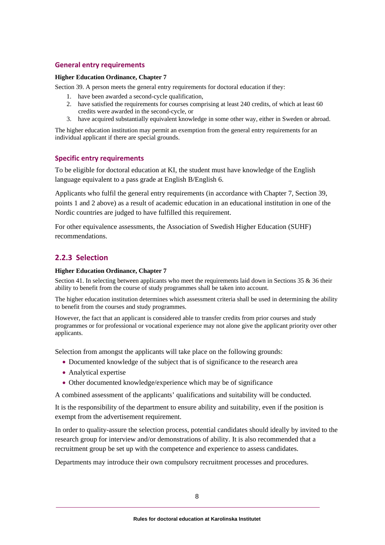#### **General entry requirements**

#### **Higher Education Ordinance, Chapter 7**

Section 39. A person meets the general entry requirements for doctoral education if they:

- 1. have been awarded a second-cycle qualification,
- 2. have satisfied the requirements for courses comprising at least 240 credits, of which at least 60 credits were awarded in the second-cycle, or
- 3. have acquired substantially equivalent knowledge in some other way, either in Sweden or abroad.

The higher education institution may permit an exemption from the general entry requirements for an individual applicant if there are special grounds.

#### **Specific entry requirements**

To be eligible for doctoral education at KI, the student must have knowledge of the English language equivalent to a pass grade at English B/English 6.

Applicants who fulfil the general entry requirements (in accordance with Chapter 7, Section 39, points 1 and 2 above) as a result of academic education in an educational institution in one of the Nordic countries are judged to have fulfilled this requirement.

For other equivalence assessments, the Association of Swedish Higher Education (SUHF) recommendations.

#### **2.2.3 Selection**

#### **Higher Education Ordinance, Chapter 7**

Section 41. In selecting between applicants who meet the requirements laid down in Sections 35 & 36 their ability to benefit from the course of study programmes shall be taken into account.

The higher education institution determines which assessment criteria shall be used in determining the ability to benefit from the courses and study programmes.

However, the fact that an applicant is considered able to transfer credits from prior courses and study programmes or for professional or vocational experience may not alone give the applicant priority over other applicants.

Selection from amongst the applicants will take place on the following grounds:

- Documented knowledge of the subject that is of significance to the research area
- Analytical expertise
- Other documented knowledge/experience which may be of significance

A combined assessment of the applicants' qualifications and suitability will be conducted.

It is the responsibility of the department to ensure ability and suitability, even if the position is exempt from the advertisement requirement.

In order to quality-assure the selection process, potential candidates should ideally by invited to the research group for interview and/or demonstrations of ability. It is also recommended that a recruitment group be set up with the competence and experience to assess candidates.

Departments may introduce their own compulsory recruitment processes and procedures.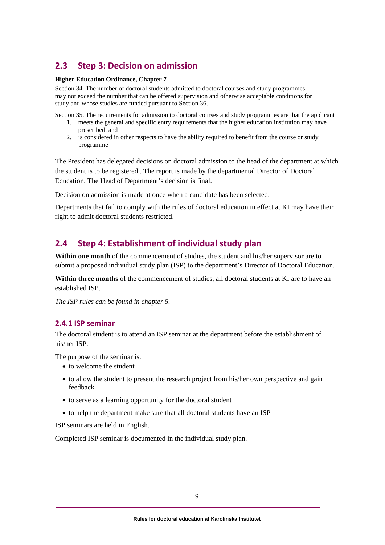# <span id="page-12-0"></span>**2.3 Step 3: Decision on admission**

#### **Higher Education Ordinance, Chapter 7**

Section 34. The number of doctoral students admitted to doctoral courses and study programmes may not exceed the number that can be offered supervision and otherwise acceptable conditions for study and whose studies are funded pursuant to Section 36.

Section 35. The requirements for admission to doctoral courses and study programmes are that the applicant

- 1. meets the general and specific entry requirements that the higher education institution may have prescribed, and
- 2. is considered in other respects to have the ability required to benefit from the course or study programme

The President has delegated decisions on doctoral admission to the head of the department at which the student [i](#page-38-0)s to be registered<sup>i</sup>. The report is made by the departmental Director of Doctoral Education. The Head of Department's decision is final.

Decision on admission is made at once when a candidate has been selected.

Departments that fail to comply with the rules of doctoral education in effect at KI may have their right to admit doctoral students restricted.

# <span id="page-12-1"></span>**2.4 Step 4: Establishment of individual study plan**

**Within one month** of the commencement of studies, the student and his/her supervisor are to submit a proposed individual study plan (ISP) to the department's Director of Doctoral Education.

**Within three months** of the commencement of studies, all doctoral students at KI are to have an established ISP.

*The ISP rules can be found in chapter 5.* 

#### **2.4.1 ISP seminar**

The doctoral student is to attend an ISP seminar at the department before the establishment of his/her ISP.

The purpose of the seminar is:

- to welcome the student
- to allow the student to present the research project from his/her own perspective and gain feedback
- to serve as a learning opportunity for the doctoral student
- to help the department make sure that all doctoral students have an ISP

ISP seminars are held in English.

Completed ISP seminar is documented in the individual study plan.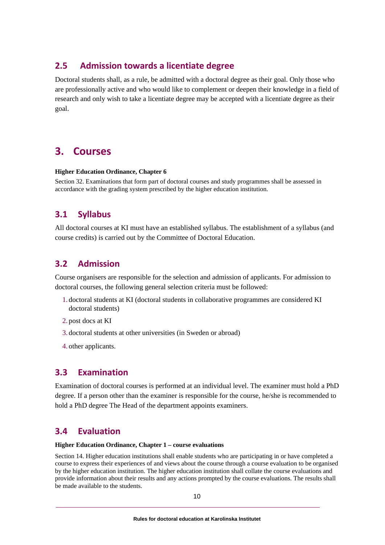# <span id="page-13-0"></span>**2.5 Admission towards a licentiate degree**

Doctoral students shall, as a rule, be admitted with a doctoral degree as their goal. Only those who are professionally active and who would like to complement or deepen their knowledge in a field of research and only wish to take a licentiate degree may be accepted with a licentiate degree as their goal.

# <span id="page-13-1"></span>**3. Courses**

#### **Higher Education Ordinance, Chapter 6**

Section 32. Examinations that form part of doctoral courses and study programmes shall be assessed in accordance with the grading system prescribed by the higher education institution.

# <span id="page-13-2"></span>**3.1 Syllabus**

All doctoral courses at KI must have an established syllabus. The establishment of a syllabus (and course credits) is carried out by the Committee of Doctoral Education.

### <span id="page-13-3"></span>**3.2 Admission**

Course organisers are responsible for the selection and admission of applicants. For admission to doctoral courses, the following general selection criteria must be followed:

- 1. doctoral students at KI (doctoral students in collaborative programmes are considered KI doctoral students)
- 2. post docs at KI
- 3. doctoral students at other universities (in Sweden or abroad)
- <span id="page-13-4"></span>4. other applicants.

### **3.3 Examination**

Examination of doctoral courses is performed at an individual level. The examiner must hold a PhD degree. If a person other than the examiner is responsible for the course, he/she is recommended to hold a PhD degree The Head of the department appoints examiners.

# <span id="page-13-5"></span>**3.4 Evaluation**

#### **Higher Education Ordinance, Chapter 1 – course evaluations**

Section 14. Higher education institutions shall enable students who are participating in or have completed a course to express their experiences of and views about the course through a course evaluation to be organised by the higher education institution. The higher education institution shall collate the course evaluations and provide information about their results and any actions prompted by the course evaluations. The results shall be made available to the students.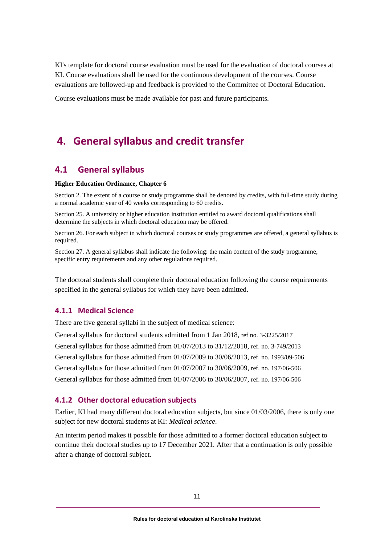KI's template for doctoral course evaluation must be used for the evaluation of doctoral courses at KI. Course evaluations shall be used for the continuous development of the courses. Course evaluations are followed-up and feedback is provided to the Committee of Doctoral Education.

<span id="page-14-0"></span>Course evaluations must be made available for past and future participants.

# **4. General syllabus and credit transfer**

### <span id="page-14-1"></span>**4.1 General syllabus**

#### **Higher Education Ordinance, Chapter 6**

Section 2. The extent of a course or study programme shall be denoted by credits, with full-time study during a normal academic year of 40 weeks corresponding to 60 credits.

Section 25. A university or higher education institution entitled to award doctoral qualifications shall determine the subjects in which doctoral education may be offered.

Section 26. For each subject in which doctoral courses or study programmes are offered, a general syllabus is required.

Section 27. A general syllabus shall indicate the following: the main content of the study programme, specific entry requirements and any other regulations required.

The doctoral students shall complete their doctoral education following the course requirements specified in the general syllabus for which they have been admitted.

#### **4.1.1 Medical Science**

There are five general syllabi in the subject of medical science:

General syllabus for doctoral students admitted from 1 Jan 2018, ref no. 3-3225/2017 General syllabus for those admitted from 01/07/2013 to 31/12/2018, ref. no. 3-749/2013 General syllabus for those admitted from 01/07/2009 to 30/06/2013, ref. no. 1993/09-506 General syllabus for those admitted from 01/07/2007 to 30/06/2009, ref. no. 197/06-506 General syllabus for those admitted from 01/07/2006 to 30/06/2007, ref. no. 197/06-506

#### **4.1.2 Other doctoral education subjects**

Earlier, KI had many different doctoral education subjects, but since 01/03/2006, there is only one subject for new doctoral students at KI: *Medical science*.

An interim period makes it possible for those admitted to a former doctoral education subject to continue their doctoral studies up to 17 December 2021. After that a continuation is only possible after a change of doctoral subject.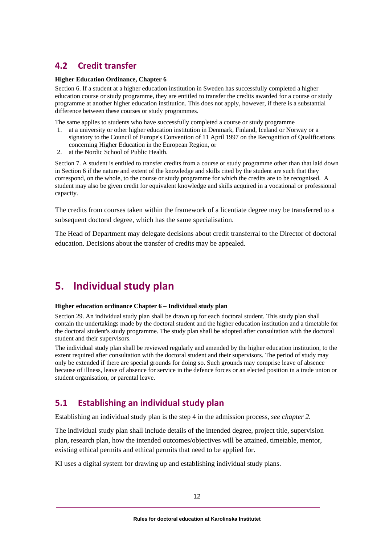# <span id="page-15-0"></span>**4.2 Credit transfer**

#### **Higher Education Ordinance, Chapter 6**

Section 6. If a student at a higher education institution in Sweden has successfully completed a higher education course or study programme, they are entitled to transfer the credits awarded for a course or study programme at another higher education institution. This does not apply, however, if there is a substantial difference between these courses or study programmes.

The same applies to students who have successfully completed a course or study programme

- 1. at a university or other higher education institution in Denmark, Finland, Iceland or Norway or a signatory to the Council of Europe's Convention of 11 April 1997 on the Recognition of Qualifications concerning Higher Education in the European Region, or
- 2. at the Nordic School of Public Health.

Section 7. A student is entitled to transfer credits from a course or study programme other than that laid down in Section 6 if the nature and extent of the knowledge and skills cited by the student are such that they correspond, on the whole, to the course or study programme for which the credits are to be recognised. A student may also be given credit for equivalent knowledge and skills acquired in a vocational or professional capacity.

The credits from courses taken within the framework of a licentiate degree may be transferred to a subsequent doctoral degree, which has the same specialisation.

<span id="page-15-1"></span>The Head of Department may delegate decisions about credit transferral to the Director of doctoral education. Decisions about the transfer of credits may be appealed.

# **5. Individual study plan**

#### **Higher education ordinance Chapter 6 – Individual study plan**

Section 29. An individual study plan shall be drawn up for each doctoral student. This study plan shall contain the undertakings made by the doctoral student and the higher education institution and a timetable for the doctoral student's study programme. The study plan shall be adopted after consultation with the doctoral student and their supervisors.

The individual study plan shall be reviewed regularly and amended by the higher education institution, to the extent required after consultation with the doctoral student and their supervisors. The period of study may only be extended if there are special grounds for doing so. Such grounds may comprise leave of absence because of illness, leave of absence for service in the defence forces or an elected position in a trade union or student organisation, or parental leave.

# <span id="page-15-2"></span>**5.1 Establishing an individual study plan**

Establishing an individual study plan is the step 4 in the admission process, *see chapter 2.*

The individual study plan shall include details of the intended degree, project title, supervision plan, research plan, how the intended outcomes/objectives will be attained, timetable, mentor, existing ethical permits and ethical permits that need to be applied for.

KI uses a digital system for drawing up and establishing individual study plans.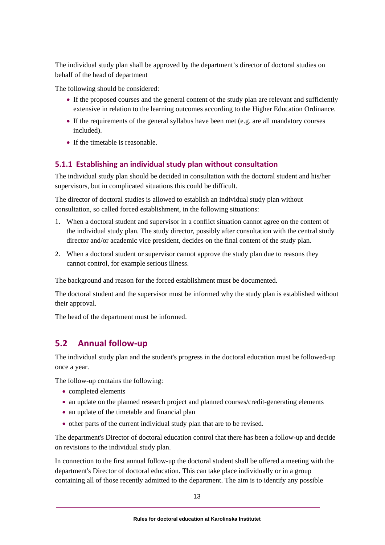The individual study plan shall be approved by the department's director of doctoral studies on behalf of the head of department

The following should be considered:

- If the proposed courses and the general content of the study plan are relevant and sufficiently extensive in relation to the learning outcomes according to the Higher Education Ordinance.
- If the requirements of the general syllabus have been met (e.g. are all mandatory courses included).
- If the timetable is reasonable.

#### **5.1.1 Establishing an individual study plan without consultation**

The individual study plan should be decided in consultation with the doctoral student and his/her supervisors, but in complicated situations this could be difficult.

The director of doctoral studies is allowed to establish an individual study plan without consultation, so called forced establishment, in the following situations:

- 1. When a doctoral student and supervisor in a conflict situation cannot agree on the content of the individual study plan. The study director, possibly after consultation with the central study director and/or academic vice president, decides on the final content of the study plan.
- 2. When a doctoral student or supervisor cannot approve the study plan due to reasons they cannot control, for example serious illness.

The background and reason for the forced establishment must be documented.

The doctoral student and the supervisor must be informed why the study plan is established without their approval.

<span id="page-16-0"></span>The head of the department must be informed.

# **5.2 Annual follow-up**

The individual study plan and the student's progress in the doctoral education must be followed-up once a year.

The follow-up contains the following:

- completed elements
- an update on the planned research project and planned courses/credit-generating elements
- an update of the timetable and financial plan
- other parts of the current individual study plan that are to be revised.

The department's Director of doctoral education control that there has been a follow-up and decide on revisions to the individual study plan.

In connection to the first annual follow-up the doctoral student shall be offered a meeting with the department's Director of doctoral education. This can take place individually or in a group containing all of those recently admitted to the department. The aim is to identify any possible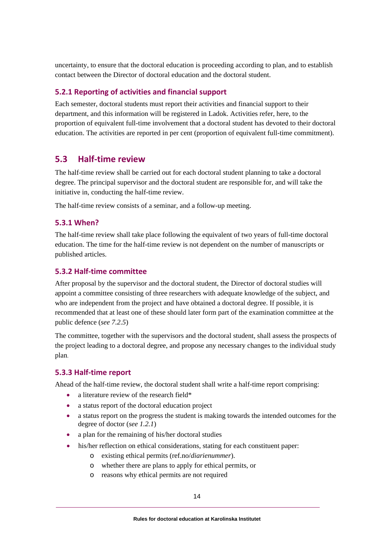uncertainty, to ensure that the doctoral education is proceeding according to plan, and to establish contact between the Director of doctoral education and the doctoral student.

#### **5.2.1 Reporting of activities and financial support**

Each semester, doctoral students must report their activities and financial support to their department, and this information will be registered in Ladok. Activities refer, here, to the proportion of equivalent full-time involvement that a doctoral student has devoted to their doctoral education. The activities are reported in per cent (proportion of equivalent full-time commitment).

### <span id="page-17-0"></span>**5.3 Half-time review**

The half-time review shall be carried out for each doctoral student planning to take a doctoral degree. The principal supervisor and the doctoral student are responsible for, and will take the initiative in, conducting the half-time review.

The half-time review consists of a seminar, and a follow-up meeting.

#### **5.3.1 When?**

The half-time review shall take place following the equivalent of two years of full-time doctoral education. The time for the half-time review is not dependent on the number of manuscripts or published articles.

#### **5.3.2 Half-time committee**

After proposal by the supervisor and the doctoral student, the Director of doctoral studies will appoint a committee consisting of three researchers with adequate knowledge of the subject, and who are independent from the project and have obtained a doctoral degree. If possible, it is recommended that at least one of these should later form part of the examination committee at the public defence (*see 7.2.5*)

The committee, together with the supervisors and the doctoral student, shall assess the prospects of the project leading to a doctoral degree, and propose any necessary changes to the individual study plan.

#### **5.3.3 Half-time report**

Ahead of the half-time review, the doctoral student shall write a half-time report comprising:

- a literature review of the research field\*
- a status report of the doctoral education project
- a status report on the progress the student is making towards the intended outcomes for the degree of doctor (*see 1.2.1*)
- a plan for the remaining of his/her doctoral studies
- his/her reflection on ethical considerations, stating for each constituent paper:
	- o existing ethical permits (ref.no/*diarienummer*).
	- o whether there are plans to apply for ethical permits, or
	- o reasons why ethical permits are not required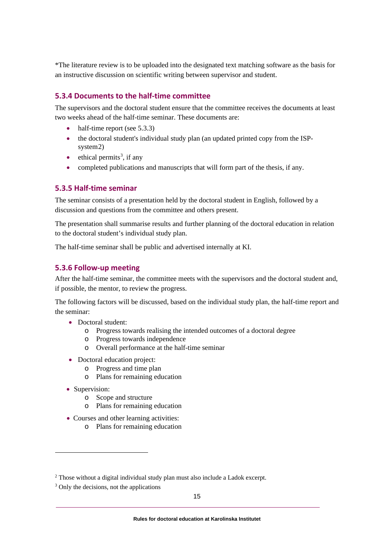\*The literature review is to be uploaded into the designated text matching software as the basis for an instructive discussion on scientific writing between supervisor and student.

#### **5.3.4 Documents to the half-time committee**

The supervisors and the doctoral student ensure that the committee receives the documents at least two weeks ahead of the half-time seminar. These documents are:

- half-time report (see 5.3.3)
- the doctoral student's individual study plan (an updated printed copy from the ISPsystem[2](#page-18-0))
- $\bullet$  ethical permits<sup>[3](#page-18-1)</sup>, if any
- completed publications and manuscripts that will form part of the thesis, if any.

#### **5.3.5 Half-time seminar**

The seminar consists of a presentation held by the doctoral student in English, followed by a discussion and questions from the committee and others present.

The presentation shall summarise results and further planning of the doctoral education in relation to the doctoral student's individual study plan.

The half-time seminar shall be public and advertised internally at KI.

#### **5.3.6 Follow-up meeting**

After the half-time seminar, the committee meets with the supervisors and the doctoral student and, if possible, the mentor, to review the progress.

The following factors will be discussed, based on the individual study plan, the half-time report and the seminar:

- Doctoral student:
	- o Progress towards realising the intended outcomes of a doctoral degree
	- o Progress towards independence
		- o Overall performance at the half-time seminar
- Doctoral education project:
	- o Progress and time plan
	- o Plans for remaining education
- Supervision:
	- o Scope and structure
	- o Plans for remaining education
- Courses and other learning activities:
	- o Plans for remaining education

<span id="page-18-0"></span><sup>2</sup> Those without a digital individual study plan must also include a Ladok excerpt.

<span id="page-18-1"></span><sup>&</sup>lt;sup>3</sup> Only the decisions, not the applications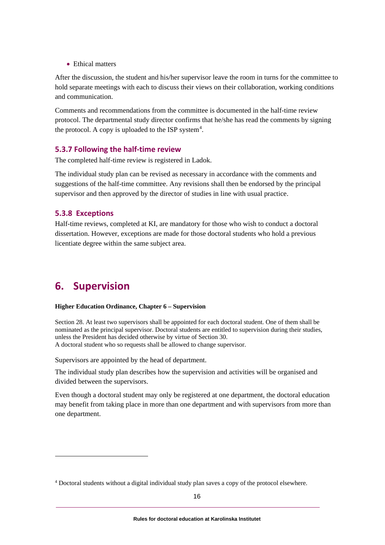• Ethical matters

After the discussion, the student and his/her supervisor leave the room in turns for the committee to hold separate meetings with each to discuss their views on their collaboration, working conditions and communication.

Comments and recommendations from the committee is documented in the half-time review protocol. The departmental study director confirms that he/she has read the comments by signing the protocol. A copy is uploaded to the ISP system $4$ .

#### **5.3.7 Following the half-time review**

The completed half-time review is registered in Ladok.

The individual study plan can be revised as necessary in accordance with the comments and suggestions of the half-time committee. Any revisions shall then be endorsed by the principal supervisor and then approved by the director of studies in line with usual practice.

#### **5.3.8 Exceptions**

Half-time reviews, completed at KI, are mandatory for those who wish to conduct a doctoral dissertation. However, exceptions are made for those doctoral students who hold a previous licentiate degree within the same subject area.

# <span id="page-19-0"></span>**6. Supervision**

#### **Higher Education Ordinance, Chapter 6 – Supervision**

Section 28. At least two supervisors shall be appointed for each doctoral student. One of them shall be nominated as the principal supervisor. Doctoral students are entitled to supervision during their studies, unless the President has decided otherwise by virtue of Section 30. A doctoral student who so requests shall be allowed to change supervisor.

Supervisors are appointed by the head of department.

The individual study plan describes how the supervision and activities will be organised and divided between the supervisors.

Even though a doctoral student may only be registered at one department, the doctoral education may benefit from taking place in more than one department and with supervisors from more than one department.

<span id="page-19-1"></span><sup>4</sup> Doctoral students without a digital individual study plan saves a copy of the protocol elsewhere.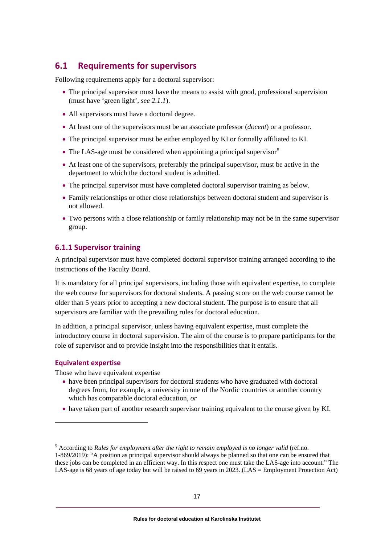# <span id="page-20-0"></span>**6.1 Requirements for supervisors**

Following requirements apply for a doctoral supervisor:

- The principal supervisor must have the means to assist with good, professional supervision (must have 'green light', *see 2.1.1*).
- All supervisors must have a doctoral degree.
- At least one of the supervisors must be an associate professor (*docent*) or a professor.
- The principal supervisor must be either employed by KI or formally affiliated to KI.
- The LAS-age must be considered when appointing a principal supervisor<sup>[5](#page-20-1)</sup>
- At least one of the supervisors, preferably the principal supervisor, must be active in the department to which the doctoral student is admitted.
- The principal supervisor must have completed doctoral supervisor training as below.
- Family relationships or other close relationships between doctoral student and supervisor is not allowed.
- Two persons with a close relationship or family relationship may not be in the same supervisor group.

#### **6.1.1 Supervisor training**

A principal supervisor must have completed doctoral supervisor training arranged according to the instructions of the Faculty Board.

It is mandatory for all principal supervisors, including those with equivalent expertise, to complete the web course for supervisors for doctoral students. A passing score on the web course cannot be older than 5 years prior to accepting a new doctoral student. The purpose is to ensure that all supervisors are familiar with the prevailing rules for doctoral education.

In addition, a principal supervisor, unless having equivalent expertise, must complete the introductory course in doctoral supervision. The aim of the course is to prepare participants for the role of supervisor and to provide insight into the responsibilities that it entails.

#### **Equivalent expertise**

Those who have equivalent expertise

- have been principal supervisors for doctoral students who have graduated with doctoral degrees from, for example, a university in one of the Nordic countries or another country which has comparable doctoral education, *or*
- have taken part of another research supervisor training equivalent to the course given by KI.

<span id="page-20-1"></span><sup>5</sup> According to *Rules for employment after the right to remain employed is no longer valid* (ref.no. 1-869/2019): "A position as principal supervisor should always be planned so that one can be ensured that these jobs can be completed in an efficient way. In this respect one must take the LAS-age into account." The LAS-age is 68 years of age today but will be raised to 69 years in 2023. (LAS = Employment Protection Act)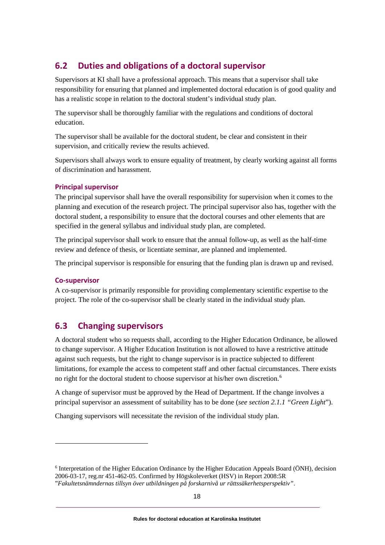# <span id="page-21-0"></span>**6.2 Duties and obligations of a doctoral supervisor**

Supervisors at KI shall have a professional approach. This means that a supervisor shall take responsibility for ensuring that planned and implemented doctoral education is of good quality and has a realistic scope in relation to the doctoral student's individual study plan.

The supervisor shall be thoroughly familiar with the regulations and conditions of doctoral education.

The supervisor shall be available for the doctoral student, be clear and consistent in their supervision, and critically review the results achieved.

Supervisors shall always work to ensure equality of treatment, by clearly working against all forms of discrimination and harassment.

#### **Principal supervisor**

The principal supervisor shall have the overall responsibility for supervision when it comes to the planning and execution of the research project. The principal supervisor also has, together with the doctoral student, a responsibility to ensure that the doctoral courses and other elements that are specified in the general syllabus and individual study plan, are completed.

The principal supervisor shall work to ensure that the annual follow-up, as well as the half-time review and defence of thesis, or licentiate seminar, are planned and implemented.

The principal supervisor is responsible for ensuring that the funding plan is drawn up and revised.

#### **Co-supervisor**

A co-supervisor is primarily responsible for providing complementary scientific expertise to the project. The role of the co-supervisor shall be clearly stated in the individual study plan.

# <span id="page-21-1"></span>**6.3 Changing supervisors**

A doctoral student who so requests shall, according to the Higher Education Ordinance, be allowed to change supervisor. A Higher Education Institution is not allowed to have a restrictive attitude against such requests, but the right to change supervisor is in practice subjected to different limitations, for example the access to competent staff and other factual circumstances. There exists no right for the doctoral student to choose supervisor at his/her own discretion.<sup>[6](#page-21-2)</sup>

A change of supervisor must be approved by the Head of Department. If the change involves a principal supervisor an assessment of suitability has to be done (*see section 2.1.1 "Green Light*").

Changing supervisors will necessitate the revision of the individual study plan.

<span id="page-21-2"></span><sup>6</sup> Interpretation of the Higher Education Ordinance by the Higher Education Appeals Board (ÖNH), decision 2006-03-17, reg.nr 451-462-05. Confirmed by Högskoleverket (HSV) in Report 2008:5R "*Fakultetsnämndernas tillsyn över utbildningen på forskarnivå ur rättssäkerhetsperspektiv"*.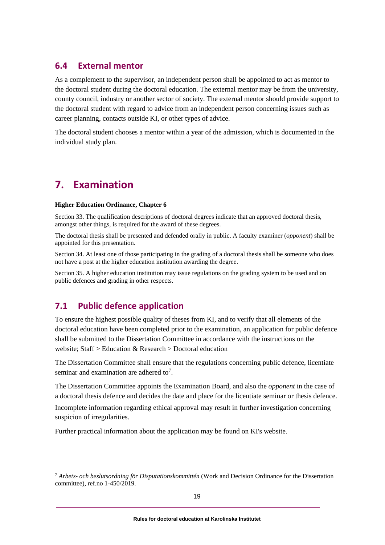### <span id="page-22-0"></span>**6.4 External mentor**

As a complement to the supervisor, an independent person shall be appointed to act as mentor to the doctoral student during the doctoral education. The external mentor may be from the university, county council, industry or another sector of society. The external mentor should provide support to the doctoral student with regard to advice from an independent person concerning issues such as career planning, contacts outside KI, or other types of advice.

<span id="page-22-1"></span>The doctoral student chooses a mentor within a year of the admission, which is documented in the individual study plan.

# **7. Examination**

#### **Higher Education Ordinance, Chapter 6**

Section 33. The qualification descriptions of doctoral degrees indicate that an approved doctoral thesis, amongst other things, is required for the award of these degrees.

The doctoral thesis shall be presented and defended orally in public. A faculty examiner (*opponent*) shall be appointed for this presentation.

Section 34. At least one of those participating in the grading of a doctoral thesis shall be someone who does not have a post at the higher education institution awarding the degree.

Section 35. A higher education institution may issue regulations on the grading system to be used and on public defences and grading in other respects.

# <span id="page-22-2"></span>**7.1 Public defence application**

To ensure the highest possible quality of theses from KI, and to verify that all elements of the doctoral education have been completed prior to the examination, an application for public defence shall be submitted to the Dissertation Committee in accordance with the instructions on the website; Staff > Education & Research > Doctoral education

The Dissertation Committee shall ensure that the regulations concerning public defence, licentiate seminar and examination are adhered to<sup>[7](#page-22-3)</sup>.

The Dissertation Committee appoints the Examination Board, and also the *opponent* in the case of a doctoral thesis defence and decides the date and place for the licentiate seminar or thesis defence. Incomplete information regarding ethical approval may result in further investigation concerning suspicion of irregularities.

Further practical information about the application may be found on KI's website.

<span id="page-22-3"></span><sup>7</sup> *Arbets- och beslutsordning för Disputationskommittén* (Work and Decision Ordinance for the Dissertation committee), ref.no 1-450/2019.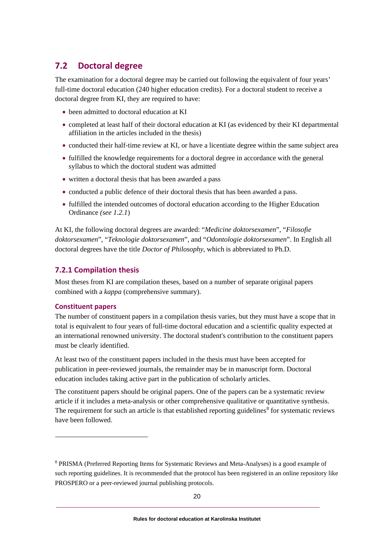# <span id="page-23-0"></span>**7.2 Doctoral degree**

The examination for a doctoral degree may be carried out following the equivalent of four years' full-time doctoral education (240 higher education credits). For a doctoral student to receive a doctoral degree from KI, they are required to have:

- been admitted to doctoral education at KI
- completed at least half of their doctoral education at KI (as evidenced by their KI departmental affiliation in the articles included in the thesis)
- conducted their half-time review at KI, or have a licentiate degree within the same subject area
- fulfilled the knowledge requirements for a doctoral degree in accordance with the general syllabus to which the doctoral student was admitted
- written a doctoral thesis that has been awarded a pass
- conducted a public defence of their doctoral thesis that has been awarded a pass.
- fulfilled the intended outcomes of doctoral education according to the Higher Education Ordinance *(see 1.2.1*)

At KI, the following doctoral degrees are awarded: "*Medicine doktorsexamen*", "*Filosofie doktorsexamen*", "*Teknologie doktorsexamen*", and "*Odontologie doktorsexamen*". In English all doctoral degrees have the title *Doctor of Philosophy*, which is abbreviated to Ph.D.

#### **7.2.1 Compilation thesis**

Most theses from KI are compilation theses, based on a number of separate original papers combined with a *kappa* (comprehensive summary).

#### **Constituent papers**

The number of constituent papers in a compilation thesis varies, but they must have a scope that in total is equivalent to four years of full-time doctoral education and a scientific quality expected at an international renowned university. The doctoral student's contribution to the constituent papers must be clearly identified.

At least two of the constituent papers included in the thesis must have been accepted for publication in peer-reviewed journals, the remainder may be in manuscript form. Doctoral education includes taking active part in the publication of scholarly articles.

The constituent papers should be original papers. One of the papers can be a systematic review article if it includes a meta-analysis or other comprehensive qualitative or quantitative synthesis. The requirement for such an article is that established reporting guidelines<sup>[8](#page-23-1)</sup> for systematic reviews have been followed.

<span id="page-23-1"></span><sup>8</sup> PRISMA (Preferred Reporting Items for Systematic Reviews and Meta-Analyses) is a good example of such reporting guidelines. It is recommended that the protocol has been registered in an online repository like PROSPERO or a peer-reviewed journal publishing protocols.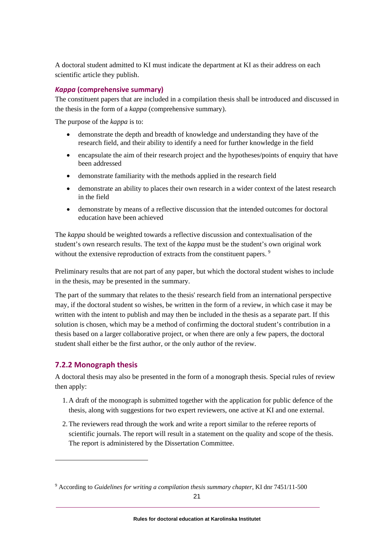A doctoral student admitted to KI must indicate the department at KI as their address on each scientific article they publish.

#### *Kappa* **(comprehensive summary)**

The constituent papers that are included in a compilation thesis shall be introduced and discussed in the thesis in the form of a *kappa* (comprehensive summary).

The purpose of the *kappa* is to:

- demonstrate the depth and breadth of knowledge and understanding they have of the research field, and their ability to identify a need for further knowledge in the field
- encapsulate the aim of their research project and the hypotheses/points of enquiry that have been addressed
- demonstrate familiarity with the methods applied in the research field
- demonstrate an ability to places their own research in a wider context of the latest research in the field
- demonstrate by means of a reflective discussion that the intended outcomes for doctoral education have been achieved

The *kappa* should be weighted towards a reflective discussion and contextualisation of the student's own research results. The text of the *kappa* must be the student's own original work without the extensive reproduction of extracts from the constituent papers.<sup>[9](#page-24-0)</sup>

Preliminary results that are not part of any paper, but which the doctoral student wishes to include in the thesis, may be presented in the summary.

The part of the summary that relates to the thesis' research field from an international perspective may, if the doctoral student so wishes, be written in the form of a review, in which case it may be written with the intent to publish and may then be included in the thesis as a separate part. If this solution is chosen, which may be a method of confirming the doctoral student's contribution in a thesis based on a larger collaborative project, or when there are only a few papers, the doctoral student shall either be the first author, or the only author of the review.

#### **7.2.2 Monograph thesis**

A doctoral thesis may also be presented in the form of a monograph thesis. Special rules of review then apply:

- 1. A draft of the monograph is submitted together with the application for public defence of the thesis, along with suggestions for two expert reviewers, one active at KI and one external.
- 2.The reviewers read through the work and write a report similar to the referee reports of scientific journals. The report will result in a statement on the quality and scope of the thesis. The report is administered by the Dissertation Committee.

<span id="page-24-0"></span><sup>9</sup> According to *Guidelines for writing a compilation thesis summary chapter*, KI dnr 7451/11-500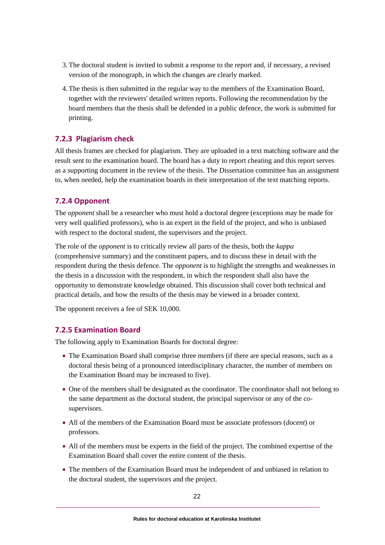- 3.The doctoral student is invited to submit a response to the report and, if necessary, a revised version of the monograph, in which the changes are clearly marked.
- 4.The thesis is then submitted in the regular way to the members of the Examination Board, together with the reviewers' detailed written reports. Following the recommendation by the board members that the thesis shall be defended in a public defence, the work is submitted for printing.

#### **7.2.3 Plagiarism check**

All thesis frames are checked for plagiarism. They are uploaded in a text matching software and the result sent to the examination board. The board has a duty to report cheating and this report serves as a supporting document in the review of the thesis. The Dissertation committee has an assignment to, when needed, help the examination boards in their interpretation of the text matching reports.

#### **7.2.4 Opponent**

The *opponent* shall be a researcher who must hold a doctoral degree (exceptions may be made for very well qualified professors), who is an expert in the field of the project, and who is unbiased with respect to the doctoral student, the supervisors and the project.

The role of the *opponent* is to critically review all parts of the thesis, both the *kappa* (comprehensive summary) and the constituent papers, and to discuss these in detail with the respondent during the thesis defence. The *opponent* is to highlight the strengths and weaknesses in the thesis in a discussion with the respondent, in which the respondent shall also have the opportunity to demonstrate knowledge obtained. This discussion shall cover both technical and practical details, and how the results of the thesis may be viewed in a broader context.

The opponent receives a fee of SEK 10,000.

#### **7.2.5 Examination Board**

The following apply to Examination Boards for doctoral degree:

- The Examination Board shall comprise three members (if there are special reasons, such as a doctoral thesis being of a pronounced interdisciplinary character, the number of members on the Examination Board may be increased to five).
- One of the members shall be designated as the coordinator. The coordinator shall not belong to the same department as the doctoral student, the principal supervisor or any of the cosupervisors.
- All of the members of the Examination Board must be associate professors (*docent*) or professors.
- All of the members must be experts in the field of the project. The combined expertise of the Examination Board shall cover the entire content of the thesis.
- The members of the Examination Board must be independent of and unbiased in relation to the doctoral student, the supervisors and the project.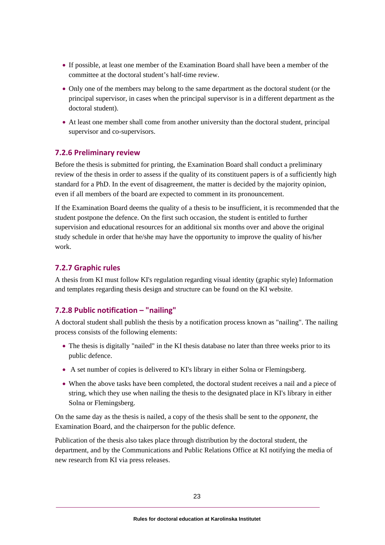- If possible, at least one member of the Examination Board shall have been a member of the committee at the doctoral student's half-time review.
- Only one of the members may belong to the same department as the doctoral student (or the principal supervisor, in cases when the principal supervisor is in a different department as the doctoral student).
- At least one member shall come from another university than the doctoral student, principal supervisor and co-supervisors.

#### **7.2.6 Preliminary review**

Before the thesis is submitted for printing, the Examination Board shall conduct a preliminary review of the thesis in order to assess if the quality of its constituent papers is of a sufficiently high standard for a PhD. In the event of disagreement, the matter is decided by the majority opinion, even if all members of the board are expected to comment in its pronouncement.

If the Examination Board deems the quality of a thesis to be insufficient, it is recommended that the student postpone the defence. On the first such occasion, the student is entitled to further supervision and educational resources for an additional six months over and above the original study schedule in order that he/she may have the opportunity to improve the quality of his/her work.

#### **7.2.7 Graphic rules**

A thesis from KI must follow KI's regulation regarding visual identity (graphic style) Information and templates regarding thesis design and structure can be found on the KI website.

#### **7.2.8 Public notification – "nailing"**

A doctoral student shall publish the thesis by a notification process known as "nailing". The nailing process consists of the following elements:

- The thesis is digitally "nailed" in the KI thesis database no later than three weeks prior to its public defence.
- A set number of copies is delivered to KI's library in either Solna or Flemingsberg.
- When the above tasks have been completed, the doctoral student receives a nail and a piece of string, which they use when nailing the thesis to the designated place in KI's library in either Solna or Flemingsberg.

On the same day as the thesis is nailed, a copy of the thesis shall be sent to the *opponent*, the Examination Board, and the chairperson for the public defence.

Publication of the thesis also takes place through distribution by the doctoral student, the department, and by the Communications and Public Relations Office at KI notifying the media of new research from KI via press releases.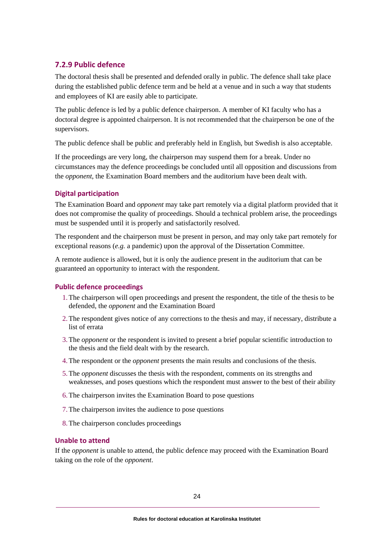#### **7.2.9 Public defence**

The doctoral thesis shall be presented and defended orally in public. The defence shall take place during the established public defence term and be held at a venue and in such a way that students and employees of KI are easily able to participate.

The public defence is led by a public defence chairperson. A member of KI faculty who has a doctoral degree is appointed chairperson. It is not recommended that the chairperson be one of the supervisors.

The public defence shall be public and preferably held in English, but Swedish is also acceptable.

If the proceedings are very long, the chairperson may suspend them for a break. Under no circumstances may the defence proceedings be concluded until all opposition and discussions from the *opponent*, the Examination Board members and the auditorium have been dealt with.

#### **Digital participation**

The Examination Board and *opponent* may take part remotely via a digital platform provided that it does not compromise the quality of proceedings. Should a technical problem arise, the proceedings must be suspended until it is properly and satisfactorily resolved.

The respondent and the chairperson must be present in person, and may only take part remotely for exceptional reasons (*e.g.* a pandemic) upon the approval of the Dissertation Committee.

A remote audience is allowed, but it is only the audience present in the auditorium that can be guaranteed an opportunity to interact with the respondent.

#### **Public defence proceedings**

- 1.The chairperson will open proceedings and present the respondent, the title of the thesis to be defended, the *opponent* and the Examination Board
- 2.The respondent gives notice of any corrections to the thesis and may, if necessary, distribute a list of errata
- 3.The *opponent* or the respondent is invited to present a brief popular scientific introduction to the thesis and the field dealt with by the research.
- 4.The respondent or the *opponent* presents the main results and conclusions of the thesis.
- 5.The *opponent* discusses the thesis with the respondent, comments on its strengths and weaknesses, and poses questions which the respondent must answer to the best of their ability
- 6.The chairperson invites the Examination Board to pose questions
- 7.The chairperson invites the audience to pose questions
- 8.The chairperson concludes proceedings

#### **Unable to attend**

If the *opponent* is unable to attend, the public defence may proceed with the Examination Board taking on the role of the *opponent*.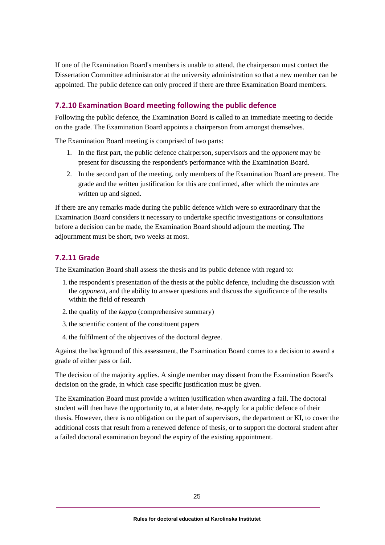If one of the Examination Board's members is unable to attend, the chairperson must contact the Dissertation Committee administrator at the university administration so that a new member can be appointed. The public defence can only proceed if there are three Examination Board members.

#### **7.2.10 Examination Board meeting following the public defence**

Following the public defence, the Examination Board is called to an immediate meeting to decide on the grade. The Examination Board appoints a chairperson from amongst themselves.

The Examination Board meeting is comprised of two parts:

- 1. In the first part, the public defence chairperson, supervisors and the *opponent* may be present for discussing the respondent's performance with the Examination Board.
- 2. In the second part of the meeting, only members of the Examination Board are present. The grade and the written justification for this are confirmed, after which the minutes are written up and signed.

If there are any remarks made during the public defence which were so extraordinary that the Examination Board considers it necessary to undertake specific investigations or consultations before a decision can be made, the Examination Board should adjourn the meeting. The adjournment must be short, two weeks at most.

#### **7.2.11 Grade**

The Examination Board shall assess the thesis and its public defence with regard to:

- 1. the respondent's presentation of the thesis at the public defence, including the discussion with the *opponent*, and the ability to answer questions and discuss the significance of the results within the field of research
- 2. the quality of the *kappa* (comprehensive summary)
- 3. the scientific content of the constituent papers
- 4. the fulfilment of the objectives of the doctoral degree.

Against the background of this assessment, the Examination Board comes to a decision to award a grade of either pass or fail.

The decision of the majority applies. A single member may dissent from the Examination Board's decision on the grade, in which case specific justification must be given.

The Examination Board must provide a written justification when awarding a fail. The doctoral student will then have the opportunity to, at a later date, re-apply for a public defence of their thesis. However, there is no obligation on the part of supervisors, the department or KI, to cover the additional costs that result from a renewed defence of thesis, or to support the doctoral student after a failed doctoral examination beyond the expiry of the existing appointment.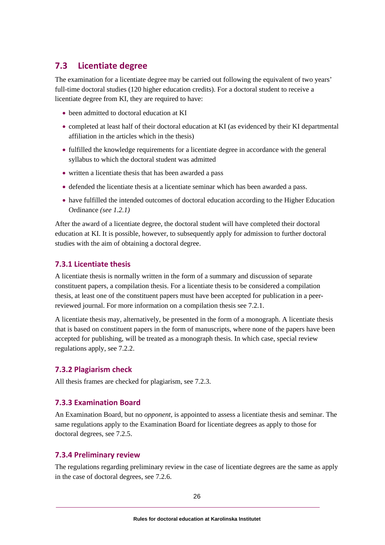# <span id="page-29-0"></span>**7.3 Licentiate degree**

The examination for a licentiate degree may be carried out following the equivalent of two years' full-time doctoral studies (120 higher education credits). For a doctoral student to receive a licentiate degree from KI, they are required to have:

- been admitted to doctoral education at KI
- completed at least half of their doctoral education at KI (as evidenced by their KI departmental affiliation in the articles which in the thesis)
- fulfilled the knowledge requirements for a licentiate degree in accordance with the general syllabus to which the doctoral student was admitted
- written a licentiate thesis that has been awarded a pass
- defended the licentiate thesis at a licentiate seminar which has been awarded a pass.
- have fulfilled the intended outcomes of doctoral education according to the Higher Education Ordinance *(see 1.2.1)*

After the award of a licentiate degree, the doctoral student will have completed their doctoral education at KI. It is possible, however, to subsequently apply for admission to further doctoral studies with the aim of obtaining a doctoral degree.

#### **7.3.1 Licentiate thesis**

A licentiate thesis is normally written in the form of a summary and discussion of separate constituent papers, a compilation thesis. For a licentiate thesis to be considered a compilation thesis, at least one of the constituent papers must have been accepted for publication in a peerreviewed journal. For more information on a compilation thesis see 7.2.1.

A licentiate thesis may, alternatively, be presented in the form of a monograph. A licentiate thesis that is based on constituent papers in the form of manuscripts, where none of the papers have been accepted for publishing, will be treated as a monograph thesis. In which case, special review regulations apply, see 7.2.2.

#### **7.3.2 Plagiarism check**

All thesis frames are checked for plagiarism, see 7.2.3.

#### **7.3.3 Examination Board**

An Examination Board, but no *opponent*, is appointed to assess a licentiate thesis and seminar. The same regulations apply to the Examination Board for licentiate degrees as apply to those for doctoral degrees, see 7.2.5.

#### **7.3.4 Preliminary review**

The regulations regarding preliminary review in the case of licentiate degrees are the same as apply in the case of doctoral degrees, see 7.2.6.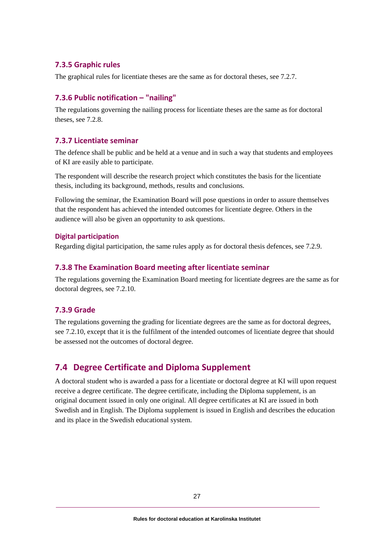#### **7.3.5 Graphic rules**

The graphical rules for licentiate theses are the same as for doctoral theses, see 7.2.7.

#### **7.3.6 Public notification – "nailing"**

The regulations governing the nailing process for licentiate theses are the same as for doctoral theses, see 7.2.8.

#### **7.3.7 Licentiate seminar**

The defence shall be public and be held at a venue and in such a way that students and employees of KI are easily able to participate.

The respondent will describe the research project which constitutes the basis for the licentiate thesis, including its background, methods, results and conclusions.

Following the seminar, the Examination Board will pose questions in order to assure themselves that the respondent has achieved the intended outcomes for licentiate degree. Others in the audience will also be given an opportunity to ask questions.

#### **Digital participation**

Regarding digital participation, the same rules apply as for doctoral thesis defences, see 7.2.9.

#### **7.3.8 The Examination Board meeting after licentiate seminar**

The regulations governing the Examination Board meeting for licentiate degrees are the same as for doctoral degrees, see 7.2.10.

#### **7.3.9 Grade**

The regulations governing the grading for licentiate degrees are the same as for doctoral degrees, see 7.2.10, except that it is the fulfilment of the intended outcomes of licentiate degree that should be assessed not the outcomes of doctoral degree.

# <span id="page-30-0"></span>**7.4 Degree Certificate and Diploma Supplement**

A doctoral student who is awarded a pass for a licentiate or doctoral degree at KI will upon request receive a degree certificate. The degree certificate, including the Diploma supplement, is an original document issued in only one original. All degree certificates at KI are issued in both Swedish and in English. The Diploma supplement is issued in English and describes the education and its place in the Swedish educational system.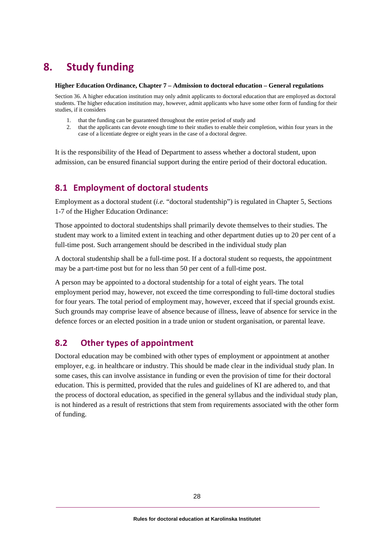# <span id="page-31-0"></span>**8. Study funding**

#### **Higher Education Ordinance, Chapter 7 – Admission to doctoral education – General regulations**

Section 36. A higher education institution may only admit applicants to doctoral education that are employed as doctoral students. The higher education institution may, however, admit applicants who have some other form of funding for their studies, if it considers

- 1. that the funding can be guaranteed throughout the entire period of study and
- 2. that the applicants can devote enough time to their studies to enable their completion, within four years in the case of a licentiate degree or eight years in the case of a doctoral degree.

It is the responsibility of the Head of Department to assess whether a doctoral student, upon admission, can be ensured financial support during the entire period of their doctoral education.

# <span id="page-31-1"></span>**8.1 Employment of doctoral students**

Employment as a doctoral student (*i.e.* "doctoral studentship") is regulated in Chapter 5, Sections 1-7 of the Higher Education Ordinance:

Those appointed to doctoral studentships shall primarily devote themselves to their studies. The student may work to a limited extent in teaching and other department duties up to 20 per cent of a full-time post. Such arrangement should be described in the individual study plan

A doctoral studentship shall be a full-time post. If a doctoral student so requests, the appointment may be a part-time post but for no less than 50 per cent of a full-time post.

A person may be appointed to a doctoral studentship for a total of eight years. The total employment period may, however, not exceed the time corresponding to full-time doctoral studies for four years. The total period of employment may, however, exceed that if special grounds exist. Such grounds may comprise leave of absence because of illness, leave of absence for service in the defence forces or an elected position in a trade union or student organisation, or parental leave.

# <span id="page-31-2"></span>**8.2 Other types of appointment**

Doctoral education may be combined with other types of employment or appointment at another employer, e.g. in healthcare or industry. This should be made clear in the individual study plan. In some cases, this can involve assistance in funding or even the provision of time for their doctoral education. This is permitted, provided that the rules and guidelines of KI are adhered to, and that the process of doctoral education, as specified in the general syllabus and the individual study plan, is not hindered as a result of restrictions that stem from requirements associated with the other form of funding.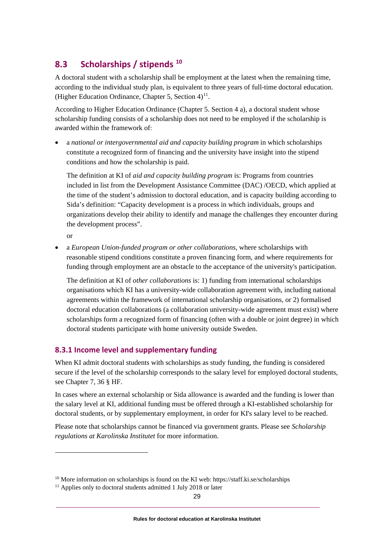# <span id="page-32-0"></span>**8.3 Scholarships / stipends [10](#page-32-1)**

A doctoral student with a scholarship shall be employment at the latest when the remaining time, according to the individual study plan, is equivalent to three years of full-time doctoral education. (Higher Education Ordinance, Chapter 5, Section  $4$ )<sup>11</sup>.

According to Higher Education Ordinance (Chapter 5. Section 4 a), a doctoral student whose scholarship funding consists of a scholarship does not need to be employed if the scholarship is awarded within the framework of:

• a *national or intergovernmental aid and capacity building program* in which scholarships constitute a recognized form of financing and the university have insight into the stipend conditions and how the scholarship is paid.

The definition at KI of *aid and capacity building program* is: Programs from countries included in list from the Development Assistance Committee (DAC) /OECD, which applied at the time of the student's admission to doctoral education, and is capacity building according to Sida's definition: "Capacity development is a process in which individuals, groups and organizations develop their ability to identify and manage the challenges they encounter during the development process".

or

• a *European Union-funded program or other collaborations*, where scholarships with reasonable stipend conditions constitute a proven financing form, and where requirements for funding through employment are an obstacle to the acceptance of the university's participation.

The definition at KI of *other collaborations* is: 1) funding from international scholarships organisations which KI has a university-wide collaboration agreement with, including national agreements within the framework of international scholarship organisations, or 2) formalised doctoral education collaborations (a collaboration university-wide agreement must exist) where scholarships form a recognized form of financing (often with a double or joint degree) in which doctoral students participate with home university outside Sweden.

### **8.3.1 Income level and supplementary funding**

When KI admit doctoral students with scholarships as study funding, the funding is considered secure if the level of the scholarship corresponds to the salary level for employed doctoral students, see Chapter 7, 36 § HF.

In cases where an external scholarship or Sida allowance is awarded and the funding is lower than the salary level at KI, additional funding must be offered through a KI-established scholarship for doctoral students, or by supplementary employment, in order for KI's salary level to be reached.

Please note that scholarships cannot be financed via government grants. Please see *Scholarship regulations at Karolinska Institutet* for more information.

<span id="page-32-1"></span> $10$  More information on scholarships is found on the KI web: https://staff.ki.se/scholarships

<span id="page-32-2"></span> $11$  Applies only to doctoral students admitted 1 July 2018 or later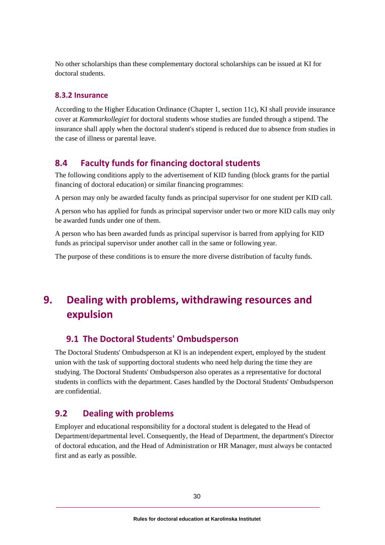No other scholarships than these complementary doctoral scholarships can be issued at KI for doctoral students.

#### **8.3.2 Insurance**

According to the Higher Education Ordinance (Chapter 1, section 11c), KI shall provide insurance cover at *Kammarkollegiet* for doctoral students whose studies are funded through a stipend. The insurance shall apply when the doctoral student's stipend is reduced due to absence from studies in the case of illness or parental leave.

### <span id="page-33-0"></span>**8.4 Faculty funds for financing doctoral students**

The following conditions apply to the advertisement of KID funding (block grants for the partial financing of doctoral education) or similar financing programmes:

A person may only be awarded faculty funds as principal supervisor for one student per KID call.

A person who has applied for funds as principal supervisor under two or more KID calls may only be awarded funds under one of them.

A person who has been awarded funds as principal supervisor is barred from applying for KID funds as principal supervisor under another call in the same or following year.

<span id="page-33-1"></span>The purpose of these conditions is to ensure the more diverse distribution of faculty funds.

# **9. Dealing with problems, withdrawing resources and expulsion**

### <span id="page-33-2"></span>**9.1 The Doctoral Students' Ombudsperson**

The Doctoral Students' Ombudsperson at KI is an independent expert, employed by the student union with the task of supporting doctoral students who need help during the time they are studying. The Doctoral Students' Ombudsperson also operates as a representative for doctoral students in conflicts with the department. Cases handled by the Doctoral Students' Ombudsperson are confidential.

# <span id="page-33-3"></span>**9.2 Dealing with problems**

Employer and educational responsibility for a doctoral student is delegated to the Head of Department/departmental level. Consequently, the Head of Department, the department's Director of doctoral education, and the Head of Administration or HR Manager, must always be contacted first and as early as possible.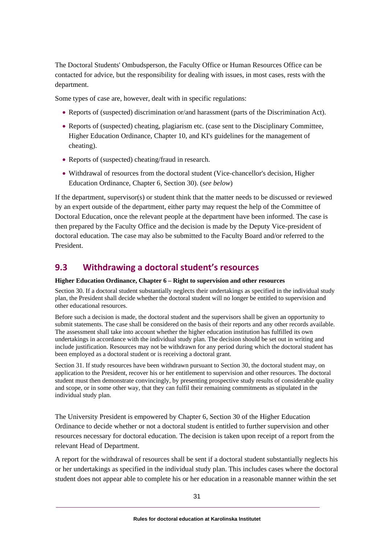The Doctoral Students' Ombudsperson, the Faculty Office or Human Resources Office can be contacted for advice, but the responsibility for dealing with issues, in most cases, rests with the department.

Some types of case are, however, dealt with in specific regulations:

- Reports of (suspected) discrimination or/and harassment (parts of the Discrimination Act).
- Reports of (suspected) cheating, plagiarism etc. (case sent to the Disciplinary Committee, Higher Education Ordinance, Chapter 10, and KI's guidelines for the management of cheating).
- Reports of (suspected) cheating/fraud in research.
- Withdrawal of resources from the doctoral student (Vice-chancellor's decision, Higher Education Ordinance, Chapter 6, Section 30). (*see below*)

If the department, supervisor(s) or student think that the matter needs to be discussed or reviewed by an expert outside of the department, either party may request the help of the Committee of Doctoral Education, once the relevant people at the department have been informed. The case is then prepared by the Faculty Office and the decision is made by the Deputy Vice-president of doctoral education. The case may also be submitted to the Faculty Board and/or referred to the President.

### <span id="page-34-0"></span>**9.3 Withdrawing a doctoral student's resources**

#### **Higher Education Ordinance, Chapter 6 – Right to supervision and other resources**

Section 30. If a doctoral student substantially neglects their undertakings as specified in the individual study plan, the President shall decide whether the doctoral student will no longer be entitled to supervision and other educational resources.

Before such a decision is made, the doctoral student and the supervisors shall be given an opportunity to submit statements. The case shall be considered on the basis of their reports and any other records available. The assessment shall take into account whether the higher education institution has fulfilled its own undertakings in accordance with the individual study plan. The decision should be set out in writing and include justification. Resources may not be withdrawn for any period during which the doctoral student has been employed as a doctoral student or is receiving a doctoral grant.

Section 31. If study resources have been withdrawn pursuant to Section 30, the doctoral student may, on application to the President, recover his or her entitlement to supervision and other resources. The doctoral student must then demonstrate convincingly, by presenting prospective study results of considerable quality and scope, or in some other way, that they can fulfil their remaining commitments as stipulated in the individual study plan.

The University President is empowered by Chapter 6, Section 30 of the Higher Education Ordinance to decide whether or not a doctoral student is entitled to further supervision and other resources necessary for doctoral education. The decision is taken upon receipt of a report from the relevant Head of Department.

A report for the withdrawal of resources shall be sent if a doctoral student substantially neglects his or her undertakings as specified in the individual study plan. This includes cases where the doctoral student does not appear able to complete his or her education in a reasonable manner within the set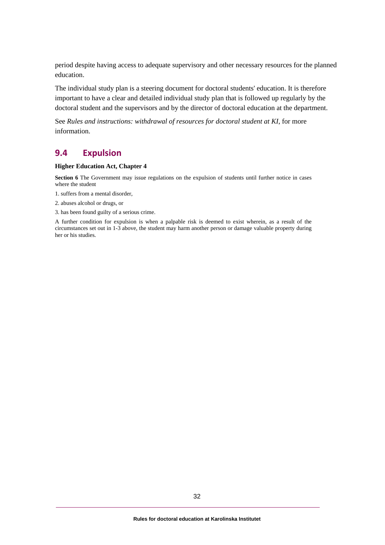period despite having access to adequate supervisory and other necessary resources for the planned education.

The individual study plan is a steering document for doctoral students' education. It is therefore important to have a clear and detailed individual study plan that is followed up regularly by the doctoral student and the supervisors and by the director of doctoral education at the department.

See *Rules and instructions: withdrawal of resources for doctoral student at KI*, for more information.

#### <span id="page-35-0"></span>**9.4 Expulsion**

#### **Higher Education Act, Chapter 4**

**Section 6** The Government may issue regulations on the expulsion of students until further notice in cases where the student

- 1. suffers from a mental disorder,
- 2. abuses alcohol or drugs, or
- 3. has been found guilty of a serious crime.

A further condition for expulsion is when a palpable risk is deemed to exist wherein, as a result of the circumstances set out in 1-3 above, the student may harm another person or damage valuable property during her or his studies.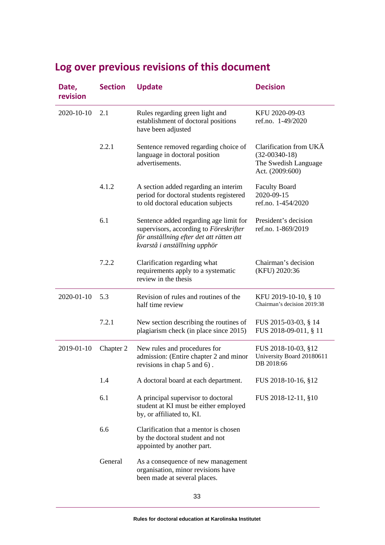| Date,<br>revision | <b>Section</b> | <b>Update</b>                                                                                                                                                | <b>Decision</b>                                                                      |
|-------------------|----------------|--------------------------------------------------------------------------------------------------------------------------------------------------------------|--------------------------------------------------------------------------------------|
| 2020-10-10        | 2.1            | Rules regarding green light and<br>establishment of doctoral positions<br>have been adjusted                                                                 | KFU 2020-09-03<br>ref.no. 1-49/2020                                                  |
|                   | 2.2.1          | Sentence removed regarding choice of<br>language in doctoral position<br>advertisements.                                                                     | Clarification from UKÄ<br>$(32-00340-18)$<br>The Swedish Language<br>Act. (2009:600) |
|                   | 4.1.2          | A section added regarding an interim<br>period for doctoral students registered<br>to old doctoral education subjects                                        | <b>Faculty Board</b><br>2020-09-15<br>ref.no. 1-454/2020                             |
|                   | 6.1            | Sentence added regarding age limit for<br>supervisors, according to Föreskrifter<br>för anställning efter det att rätten att<br>kvarstå i anställning upphör | President's decision<br>ref.no. 1-869/2019                                           |
|                   | 7.2.2          | Clarification regarding what<br>requirements apply to a systematic<br>review in the thesis                                                                   | Chairman's decision<br>(KFU) 2020:36                                                 |
| 2020-01-10        | 5.3            | Revision of rules and routines of the<br>half time review                                                                                                    | KFU 2019-10-10, § 10<br>Chairman's decision 2019:38                                  |
|                   | 7.2.1          | New section describing the routines of<br>plagiarism check (in place since 2015)                                                                             | FUS 2015-03-03, § 14<br>FUS 2018-09-011, § 11                                        |
| 2019-01-10        | Chapter 2      | New rules and procedures for<br>admission: (Entire chapter 2 and minor<br>revisions in chap 5 and 6).                                                        | FUS 2018-10-03, §12<br>University Board 20180611<br>DB 2018:66                       |
|                   | 1.4            | A doctoral board at each department.                                                                                                                         | FUS 2018-10-16, §12                                                                  |
|                   | 6.1            | A principal supervisor to doctoral<br>student at KI must be either employed<br>by, or affiliated to, KI.                                                     | FUS 2018-12-11, §10                                                                  |
|                   | 6.6            | Clarification that a mentor is chosen<br>by the doctoral student and not<br>appointed by another part.                                                       |                                                                                      |
|                   | General        | As a consequence of new management<br>organisation, minor revisions have<br>been made at several places.                                                     |                                                                                      |

# <span id="page-36-0"></span>**Log over previous revisions of this document**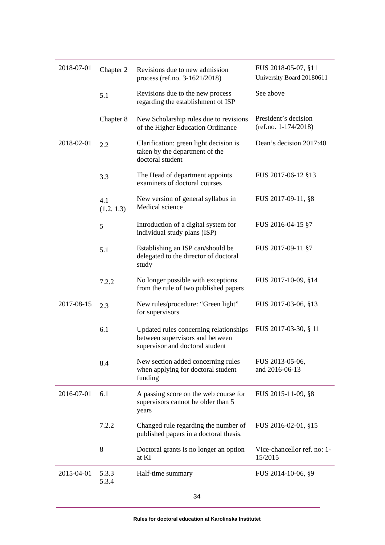| 2018-07-01 | Chapter 2         | Revisions due to new admission<br>process (ref.no. 3-1621/2018)                                              | FUS 2018-05-07, §11<br>University Board 20180611 |
|------------|-------------------|--------------------------------------------------------------------------------------------------------------|--------------------------------------------------|
|            | 5.1               | Revisions due to the new process<br>regarding the establishment of ISP                                       | See above                                        |
|            | Chapter 8         | New Scholarship rules due to revisions<br>of the Higher Education Ordinance                                  | President's decision<br>$(ref.no. 1-174/2018)$   |
| 2018-02-01 | 2.2               | Clarification: green light decision is<br>taken by the department of the<br>doctoral student                 | Dean's decision 2017:40                          |
|            | 3.3               | The Head of department appoints<br>examiners of doctoral courses                                             | FUS 2017-06-12 §13                               |
|            | 4.1<br>(1.2, 1.3) | New version of general syllabus in<br>Medical science                                                        | FUS 2017-09-11, §8                               |
|            | 5                 | Introduction of a digital system for<br>individual study plans (ISP)                                         | FUS 2016-04-15 §7                                |
|            | 5.1               | Establishing an ISP can/should be<br>delegated to the director of doctoral<br>study                          | FUS 2017-09-11 §7                                |
|            | 7.2.2             | No longer possible with exceptions<br>from the rule of two published papers                                  | FUS 2017-10-09, §14                              |
| 2017-08-15 | 2.3               | New rules/procedure: "Green light"<br>for supervisors                                                        | FUS 2017-03-06, §13                              |
|            | 6.1               | Updated rules concerning relationships<br>between supervisors and between<br>supervisor and doctoral student | FUS 2017-03-30, § 11                             |
|            | 8.4               | New section added concerning rules<br>when applying for doctoral student<br>funding                          | FUS 2013-05-06,<br>and 2016-06-13                |
| 2016-07-01 | 6.1               | A passing score on the web course for<br>supervisors cannot be older than 5<br>years                         | FUS 2015-11-09, §8                               |
|            | 7.2.2             | Changed rule regarding the number of<br>published papers in a doctoral thesis.                               | FUS 2016-02-01, §15                              |
|            | 8                 | Doctoral grants is no longer an option<br>at KI                                                              | Vice-chancellor ref. no: 1-<br>15/2015           |
| 2015-04-01 | 5.3.3<br>5.3.4    | Half-time summary                                                                                            | FUS 2014-10-06, §9                               |